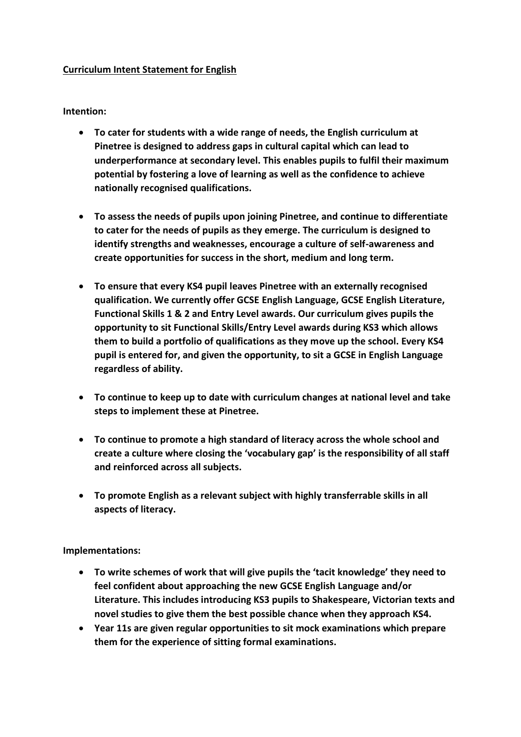## **Curriculum Intent Statement for English**

## **Intention:**

- **To cater for students with a wide range of needs, the English curriculum at Pinetree is designed to address gaps in cultural capital which can lead to underperformance at secondary level. This enables pupils to fulfil their maximum potential by fostering a love of learning as well as the confidence to achieve nationally recognised qualifications.**
- **To assess the needs of pupils upon joining Pinetree, and continue to differentiate to cater for the needs of pupils as they emerge. The curriculum is designed to identify strengths and weaknesses, encourage a culture of self-awareness and create opportunities for success in the short, medium and long term.**
- **To ensure that every KS4 pupil leaves Pinetree with an externally recognised qualification. We currently offer GCSE English Language, GCSE English Literature, Functional Skills 1 & 2 and Entry Level awards. Our curriculum gives pupils the opportunity to sit Functional Skills/Entry Level awards during KS3 which allows them to build a portfolio of qualifications as they move up the school. Every KS4 pupil is entered for, and given the opportunity, to sit a GCSE in English Language regardless of ability.**
- **To continue to keep up to date with curriculum changes at national level and take steps to implement these at Pinetree.**
- **To continue to promote a high standard of literacy across the whole school and create a culture where closing the 'vocabulary gap' is the responsibility of all staff and reinforced across all subjects.**
- **To promote English as a relevant subject with highly transferrable skills in all aspects of literacy.**

## **Implementations:**

- **To write schemes of work that will give pupils the 'tacit knowledge' they need to feel confident about approaching the new GCSE English Language and/or Literature. This includes introducing KS3 pupils to Shakespeare, Victorian texts and novel studies to give them the best possible chance when they approach KS4.**
- **Year 11s are given regular opportunities to sit mock examinations which prepare them for the experience of sitting formal examinations.**